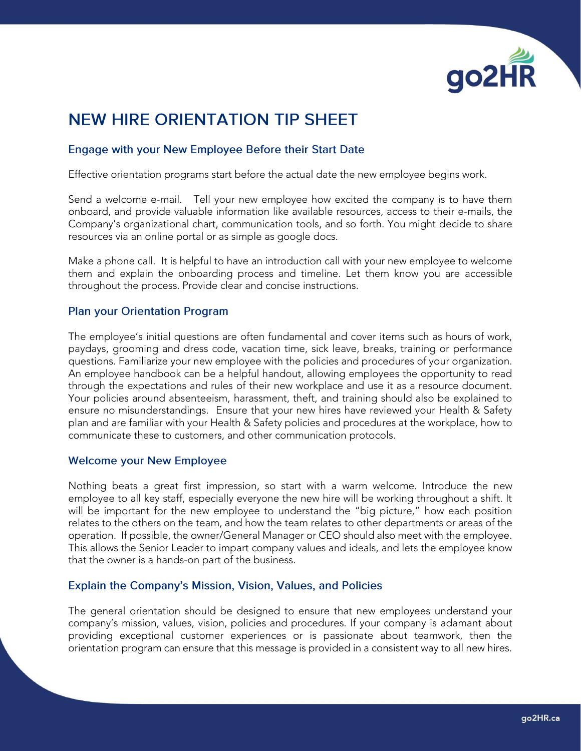

# **NEW HIRE ORIENTATION TIP SHEET**

# Engage with your New Employee Before their Start Date

Effective orientation programs start before the actual date the new employee begins work.

Send a welcome e-mail. Tell your new employee how excited the company is to have them onboard, and provide valuable information like available resources, access to their e-mails, the Company's organizational chart, communication tools, and so forth. You might decide to share resources via an online portal or as simple as google docs.

Make a phone call. It is helpful to have an introduction call with your new employee to welcome them and explain the onboarding process and timeline. Let them know you are accessible throughout the process. Provide clear and concise instructions.

## **Plan your Orientation Program**

The employee's initial questions are often fundamental and cover items such as hours of work, paydays, grooming and dress code, vacation time, sick leave, breaks, training or performance questions. Familiarize your new employee with the policies and procedures of your organization. An employee handbook can be a helpful handout, allowing employees the opportunity to read through the expectations and rules of their new workplace and use it as a resource document. Your policies around absenteeism, harassment, theft, and training should also be explained to ensure no misunderstandings. Ensure that your new hires have reviewed your Health & Safety plan and are familiar with your Health & Safety policies and procedures at the workplace, how to communicate these to customers, and other communication protocols.

## **Welcome your New Employee**

Nothing beats a great first impression, so start with a warm welcome. Introduce the new employee to all key staff, especially everyone the new hire will be working throughout a shift. It will be important for the new employee to understand the "big picture," how each position relates to the others on the team, and how the team relates to other departments or areas of the operation. If possible, the owner/General Manager or CEO should also meet with the employee. This allows the Senior Leader to impart company values and ideals, and lets the employee know that the owner is a hands-on part of the business.

## Explain the Company's Mission, Vision, Values, and Policies

The general orientation should be designed to ensure that new employees understand your company's mission, values, vision, policies and procedures. If your company is adamant about providing exceptional customer experiences or is passionate about teamwork, then the orientation program can ensure that this message is provided in a consistent way to all new hires.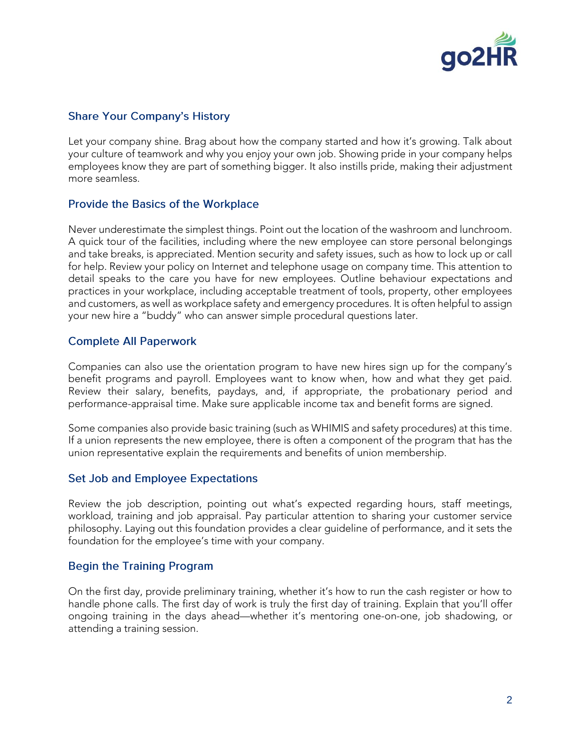

# **Share Your Company's History**

Let your company shine. Brag about how the company started and how it's growing. Talk about your culture of teamwork and why you enjoy your own job. Showing pride in your company helps employees know they are part of something bigger. It also instills pride, making their adjustment more seamless.

# **Provide the Basics of the Workplace**

Never underestimate the simplest things. Point out the location of the washroom and lunchroom. A quick tour of the facilities, including where the new employee can store personal belongings and take breaks, is appreciated. Mention security and safety issues, such as how to lock up or call for help. Review your policy on Internet and telephone usage on company time. This attention to detail speaks to the care you have for new employees. Outline behaviour expectations and practices in your workplace, including acceptable treatment of tools, property, other employees and customers, as well as workplace safety and emergency procedures. It is often helpful to assign your new hire a "buddy" who can answer simple procedural questions later.

# **Complete All Paperwork**

Companies can also use the orientation program to have new hires sign up for the company's benefit programs and payroll. Employees want to know when, how and what they get paid. Review their salary, benefits, paydays, and, if appropriate, the probationary period and performance-appraisal time. Make sure applicable income tax and benefit forms are signed.

Some companies also provide basic training (such as WHIMIS and safety procedures) at this time. If a union represents the new employee, there is often a component of the program that has the union representative explain the requirements and benefits of union membership.

## **Set Job and Employee Expectations**

Review the job description, pointing out what's expected regarding hours, staff meetings, workload, training and job appraisal. Pay particular attention to sharing your customer service philosophy. Laying out this foundation provides a clear guideline of performance, and it sets the foundation for the employee's time with your company.

## **Begin the Training Program**

On the first day, provide preliminary training, whether it's how to run the cash register or how to handle phone calls. The first day of work is truly the first day of training. Explain that you'll offer ongoing training in the days ahead—whether it's mentoring one-on-one, job shadowing, or attending a training session.